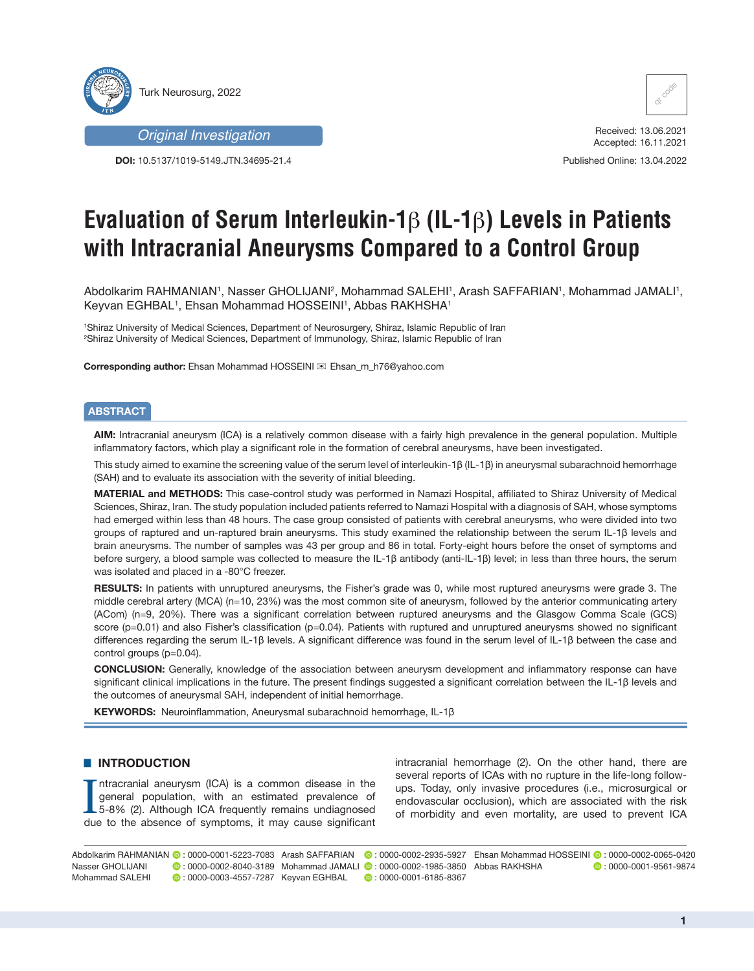



**DOI:** 10.5137/1019-5149.JTN.34695-21.4



Received: 13.06.2021 Accepted: 16.11.2021

Published Online: 13.04.2022

# **Evaluation of Serum Interleukin-1**β **(IL-1**β**) Levels in Patients with Intracranial Aneurysms Compared to a Control Group**

Abdolkarim RAHMANIAN', Nasser GHOLIJANI², Mohammad SALEHI', Arash SAFFARIAN', Mohammad JAMALI', Keyvan EGHBAL1, Ehsan Mohammad HOSSEINI1, Abbas RAKHSHA1

1 Shiraz University of Medical Sciences, Department of Neurosurgery, Shiraz, Islamic Republic of Iran 2 Shiraz University of Medical Sciences, Department of Immunology, Shiraz, Islamic Republic of Iran

**Corresponding author:** Ehsan Mohammad HOSSEINI  $\otimes$  Ehsan m\_h76@yahoo.com

## **ABSTRACT**

**AIM:** Intracranial aneurysm (ICA) is a relatively common disease with a fairly high prevalence in the general population. Multiple inflammatory factors, which play a significant role in the formation of cerebral aneurysms, have been investigated.

This study aimed to examine the screening value of the serum level of interleukin-1β (IL-1β) in aneurysmal subarachnoid hemorrhage (SAH) and to evaluate its association with the severity of initial bleeding.

**MATERIAL and METHODS:** This case-control study was performed in Namazi Hospital, affiliated to Shiraz University of Medical Sciences, Shiraz, Iran. The study population included patients referred to Namazi Hospital with a diagnosis of SAH, whose symptoms had emerged within less than 48 hours. The case group consisted of patients with cerebral aneurysms, who were divided into two groups of raptured and un-raptured brain aneurysms. This study examined the relationship between the serum IL-1β levels and brain aneurysms. The number of samples was 43 per group and 86 in total. Forty-eight hours before the onset of symptoms and before surgery, a blood sample was collected to measure the IL-1β antibody (anti-IL-1β) level; in less than three hours, the serum was isolated and placed in a -80°C freezer.

**RESULTS:** In patients with unruptured aneurysms, the Fisher's grade was 0, while most ruptured aneurysms were grade 3. The middle cerebral artery (MCA) (n=10, 23%) was the most common site of aneurysm, followed by the anterior communicating artery (ACom) (n=9, 20%). There was a significant correlation between ruptured aneurysms and the Glasgow Comma Scale (GCS) score (p=0.01) and also Fisher's classification (p=0.04). Patients with ruptured and unruptured aneurysms showed no significant differences regarding the serum IL-1β levels. A significant difference was found in the serum level of IL-1β between the case and control groups (p=0.04).

**CONCLUSION:** Generally, knowledge of the association between aneurysm development and inflammatory response can have significant clinical implications in the future. The present findings suggested a significant correlation between the IL-1β levels and the outcomes of aneurysmal SAH, independent of initial hemorrhage.

**KEYWORDS:** Neuroinflammation, Aneurysmal subarachnoid hemorrhage, IL-1β

## █ **INTRODUCTION**

Intracranial aneurysm (ICA) is a common disease in the general population, with an estimated prevalence of 5-8% (2). Although ICA frequently remains undiagnosed due to the absence of symptoms, it may cause significant ntracranial aneurysm (ICA) is a common disease in the general population, with an estimated prevalence of 5-8% (2). Although ICA frequently remains undiagnosed intracranial hemorrhage (2). On the other hand, there are several reports of ICAs with no rupture in the life-long followups. Today, only invasive procedures (i.e., microsurgical or endovascular occlusion), which are associated with the risk of morbidity and even mortality, are used to prevent ICA

Abdolkarim RAHMANIAN ◎ : 0000-0001-5223-7083 Arash SAFFARIAN ◎ : 0000-0002-2935-5927 Ehsan Mohammad HOSSEINI ◎ : 0000-0002-0065-0420  $\bullet$  : 0000-0001-9561-9874 Nasser GHOLIJANI : 0000-0002-8040-3189 Mohammad JAMALI : 0000-0002-1985-3850 Mohammad SALEHI **:** 0000-0003-4557-7287 Keyvan EGHBAL  $\textcircled{\tiny 1}$  : 0000-0001-6185-8367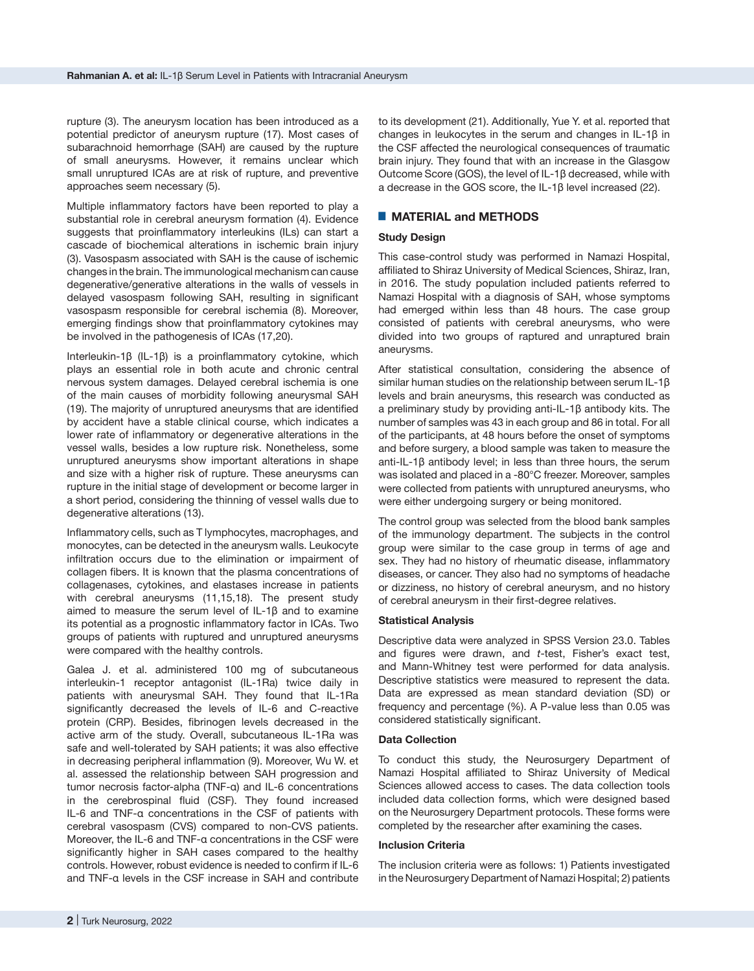rupture (3). The aneurysm location has been introduced as a potential predictor of aneurysm rupture (17). Most cases of subarachnoid hemorrhage (SAH) are caused by the rupture of small aneurysms. However, it remains unclear which small unruptured ICAs are at risk of rupture, and preventive approaches seem necessary (5).

Multiple inflammatory factors have been reported to play a substantial role in cerebral aneurysm formation (4). Evidence suggests that proinflammatory interleukins (ILs) can start a cascade of biochemical alterations in ischemic brain injury (3). Vasospasm associated with SAH is the cause of ischemic changes in the brain. The immunological mechanism can cause degenerative/generative alterations in the walls of vessels in delayed vasospasm following SAH, resulting in significant vasospasm responsible for cerebral ischemia (8). Moreover, emerging findings show that proinflammatory cytokines may be involved in the pathogenesis of ICAs (17,20).

Interleukin-1β (IL-1β) is a proinflammatory cytokine, which plays an essential role in both acute and chronic central nervous system damages. Delayed cerebral ischemia is one of the main causes of morbidity following aneurysmal SAH (19). The majority of unruptured aneurysms that are identified by accident have a stable clinical course, which indicates a lower rate of inflammatory or degenerative alterations in the vessel walls, besides a low rupture risk. Nonetheless, some unruptured aneurysms show important alterations in shape and size with a higher risk of rupture. These aneurysms can rupture in the initial stage of development or become larger in a short period, considering the thinning of vessel walls due to degenerative alterations (13).

Inflammatory cells, such as T lymphocytes, macrophages, and monocytes, can be detected in the aneurysm walls. Leukocyte infiltration occurs due to the elimination or impairment of collagen fibers. It is known that the plasma concentrations of collagenases, cytokines, and elastases increase in patients with cerebral aneurysms (11,15,18). The present study aimed to measure the serum level of IL-1β and to examine its potential as a prognostic inflammatory factor in ICAs. Two groups of patients with ruptured and unruptured aneurysms were compared with the healthy controls.

Galea J. et al. administered 100 mg of subcutaneous interleukin-1 receptor antagonist (IL-1Ra) twice daily in patients with aneurysmal SAH. They found that IL-1Ra significantly decreased the levels of IL-6 and C-reactive protein (CRP). Besides, fibrinogen levels decreased in the active arm of the study. Overall, subcutaneous IL-1Ra was safe and well-tolerated by SAH patients; it was also effective in decreasing peripheral inflammation (9). Moreover, Wu W. et al. assessed the relationship between SAH progression and tumor necrosis factor-alpha (TNF-α) and IL-6 concentrations in the cerebrospinal fluid (CSF). They found increased IL-6 and TNF-α concentrations in the CSF of patients with cerebral vasospasm (CVS) compared to non-CVS patients. Moreover, the IL-6 and TNF-α concentrations in the CSF were significantly higher in SAH cases compared to the healthy controls. However, robust evidence is needed to confirm if IL-6 and TNF-α levels in the CSF increase in SAH and contribute

to its development (21). Additionally, Yue Y. et al. reported that changes in leukocytes in the serum and changes in IL-1β in the CSF affected the neurological consequences of traumatic brain injury. They found that with an increase in the Glasgow Outcome Score (GOS), the level of IL-1β decreased, while with a decrease in the GOS score, the IL-1β level increased (22).

# ■ **MATERIAL and METHODS**

## **Study Design**

This case-control study was performed in Namazi Hospital, affiliated to Shiraz University of Medical Sciences, Shiraz, Iran, in 2016. The study population included patients referred to Namazi Hospital with a diagnosis of SAH, whose symptoms had emerged within less than 48 hours. The case group consisted of patients with cerebral aneurysms, who were divided into two groups of raptured and unraptured brain aneurysms.

After statistical consultation, considering the absence of similar human studies on the relationship between serum IL-1β levels and brain aneurysms, this research was conducted as a preliminary study by providing anti-IL-1β antibody kits. The number of samples was 43 in each group and 86 in total. For all of the participants, at 48 hours before the onset of symptoms and before surgery, a blood sample was taken to measure the anti-IL-1β antibody level; in less than three hours, the serum was isolated and placed in a -80°C freezer. Moreover, samples were collected from patients with unruptured aneurysms, who were either undergoing surgery or being monitored.

The control group was selected from the blood bank samples of the immunology department. The subjects in the control group were similar to the case group in terms of age and sex. They had no history of rheumatic disease, inflammatory diseases, or cancer. They also had no symptoms of headache or dizziness, no history of cerebral aneurysm, and no history of cerebral aneurysm in their first-degree relatives.

## **Statistical Analysis**

Descriptive data were analyzed in SPSS Version 23.0. Tables and figures were drawn, and *t*-test, Fisher's exact test, and Mann-Whitney test were performed for data analysis. Descriptive statistics were measured to represent the data. Data are expressed as mean standard deviation (SD) or frequency and percentage (%). A P-value less than 0.05 was considered statistically significant.

## **Data Collection**

To conduct this study, the Neurosurgery Department of Namazi Hospital affiliated to Shiraz University of Medical Sciences allowed access to cases. The data collection tools included data collection forms, which were designed based on the Neurosurgery Department protocols. These forms were completed by the researcher after examining the cases.

#### **Inclusion Criteria**

The inclusion criteria were as follows: 1) Patients investigated in the Neurosurgery Department of Namazi Hospital; 2) patients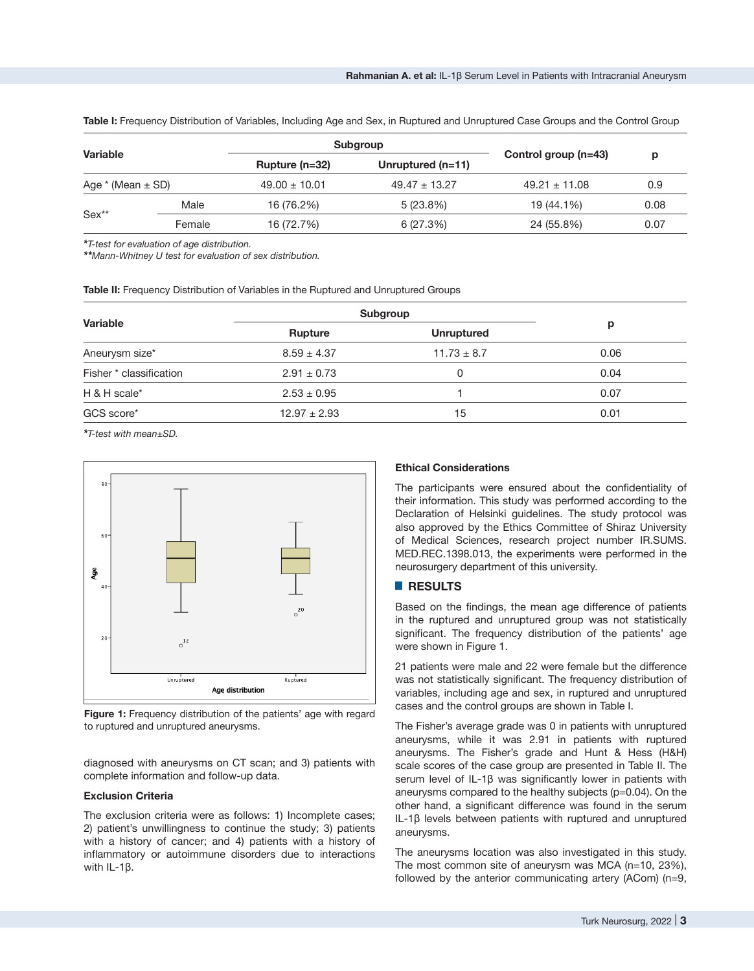Table I: Frequency Distribution of Variables, Including Age and Sex, in Ruptured and Unruptured Case Groups and the Control Group

| <b>Variable</b><br>Age $*(Mean \pm SD)$ |        | Subgroup          |                     |                      |      |
|-----------------------------------------|--------|-------------------|---------------------|----------------------|------|
|                                         |        | Rupture $(n=32)$  | Unruptured $(n=11)$ | Control group (n=43) | p    |
|                                         |        | $49.00 \pm 10.01$ | $49.47 \pm 13.27$   | $49.21 \pm 11.08$    | 0.9  |
| $Sex**$                                 | Male   | 16 (76.2%)        | $5(23.8\%)$         | 19 (44.1%)           | 0.08 |
|                                         | Female | 16 (72.7%)        | 6(27.3%)            | 24 (55.8%)           | 0.07 |

*\*T-test for evaluation of age distribution.*

*\*\*Mann-Whitney U test for evaluation of sex distribution.*

**Table II:** Frequency Distribution of Variables in the Ruptured and Unruptured Groups

| <b>Rupture</b>   | <b>Unruptured</b> | р        |  |
|------------------|-------------------|----------|--|
| $8.59 \pm 4.37$  | $11.73 \pm 8.7$   | 0.06     |  |
| $2.91 \pm 0.73$  | 0                 | 0.04     |  |
| $2.53 \pm 0.95$  |                   | 0.07     |  |
| $12.97 \pm 2.93$ | 15                | 0.01     |  |
|                  |                   | Subgroup |  |

*\*T-test with mean±SD.*



**Figure 1:** Frequency distribution of the patients' age with regard to ruptured and unruptured aneurysms.

diagnosed with aneurysms on CT scan; and 3) patients with complete information and follow-up data.

#### **Exclusion Criteria**

The exclusion criteria were as follows: 1) Incomplete cases; 2) patient's unwillingness to continue the study; 3) patients with a history of cancer; and 4) patients with a history of inflammatory or autoimmune disorders due to interactions with IL-1β.

# **Ethical Considerations**

The participants were ensured about the confidentiality of their information. This study was performed according to the Declaration of Helsinki guidelines. The study protocol was also approved by the Ethics Committee of Shiraz University of Medical Sciences, research project number IR.SUMS. MED.REC.1398.013, the experiments were performed in the neurosurgery department of this university.

## █ **RESULTS**

Based on the findings, the mean age difference of patients in the ruptured and unruptured group was not statistically significant. The frequency distribution of the patients' age were shown in Figure 1.

21 patients were male and 22 were female but the difference was not statistically significant. The frequency distribution of variables, including age and sex, in ruptured and unruptured cases and the control groups are shown in Table I.

The Fisher's average grade was 0 in patients with unruptured aneurysms, while it was 2.91 in patients with ruptured aneurysms. The Fisher's grade and Hunt & Hess (H&H) scale scores of the case group are presented in Table II. The serum level of IL-1β was significantly lower in patients with aneurysms compared to the healthy subjects (p=0.04). On the other hand, a significant difference was found in the serum IL-1β levels between patients with ruptured and unruptured aneurysms.

The aneurysms location was also investigated in this study. The most common site of aneurysm was MCA (n=10, 23%), followed by the anterior communicating artery (ACom) (n=9,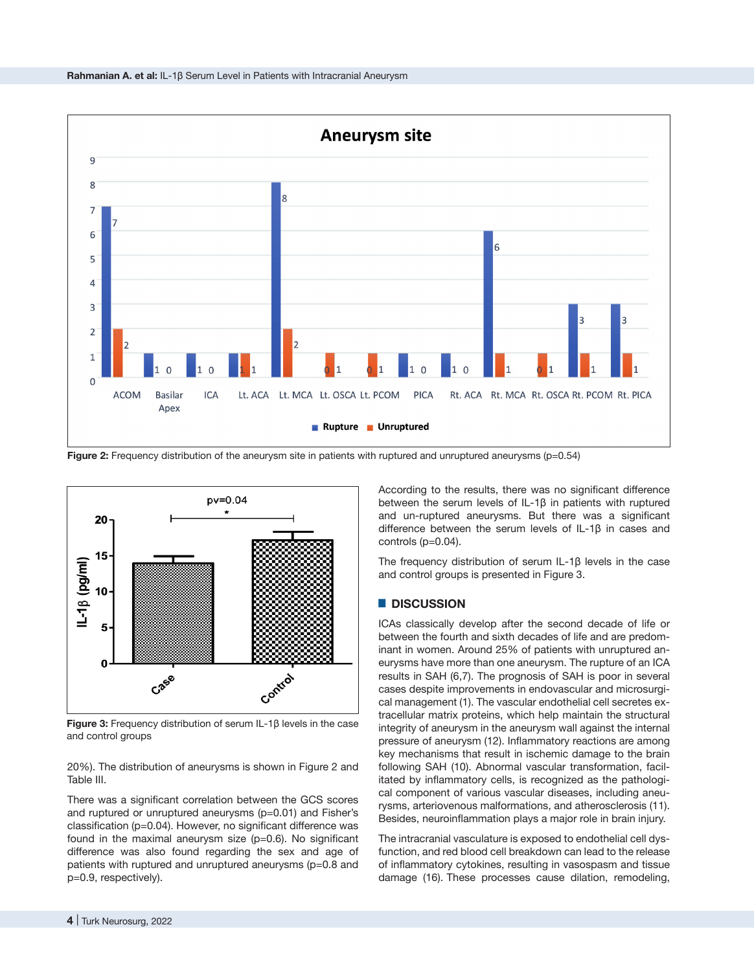

**Figure 2:** Frequency distribution of the aneurysm site in patients with ruptured and unruptured aneurysms (p=0.54)



**Figure 3:** Frequency distribution of serum IL-1β levels in the case and control groups

20%). The distribution of aneurysms is shown in Figure 2 and Table III.

There was a significant correlation between the GCS scores and ruptured or unruptured aneurysms (p=0.01) and Fisher's classification (p=0.04). However, no significant difference was found in the maximal aneurysm size (p=0.6). No significant difference was also found regarding the sex and age of patients with ruptured and unruptured aneurysms (p=0.8 and p=0.9, respectively).

According to the results, there was no significant difference between the serum levels of IL-1β in patients with ruptured and un-ruptured aneurysms. But there was a significant difference between the serum levels of IL-1β in cases and controls (p=0.04).

The frequency distribution of serum IL-1β levels in the case and control groups is presented in Figure 3.

## █ **DISCUSSION**

ICAs classically develop after the second decade of life or between the fourth and sixth decades of life and are predominant in women. Around 25% of patients with unruptured aneurysms have more than one aneurysm. The rupture of an ICA results in SAH (6,7). The prognosis of SAH is poor in several cases despite improvements in endovascular and microsurgical management (1). The vascular endothelial cell secretes extracellular matrix proteins, which help maintain the structural integrity of aneurysm in the aneurysm wall against the internal pressure of aneurysm (12). Inflammatory reactions are among key mechanisms that result in ischemic damage to the brain following SAH (10). Abnormal vascular transformation, facilitated by inflammatory cells, is recognized as the pathological component of various vascular diseases, including aneurysms, arteriovenous malformations, and atherosclerosis (11). Besides, neuroinflammation plays a major role in brain injury.

The intracranial vasculature is exposed to endothelial cell dysfunction, and red blood cell breakdown can lead to the release of inflammatory cytokines, resulting in vasospasm and tissue damage (16). These processes cause dilation, remodeling,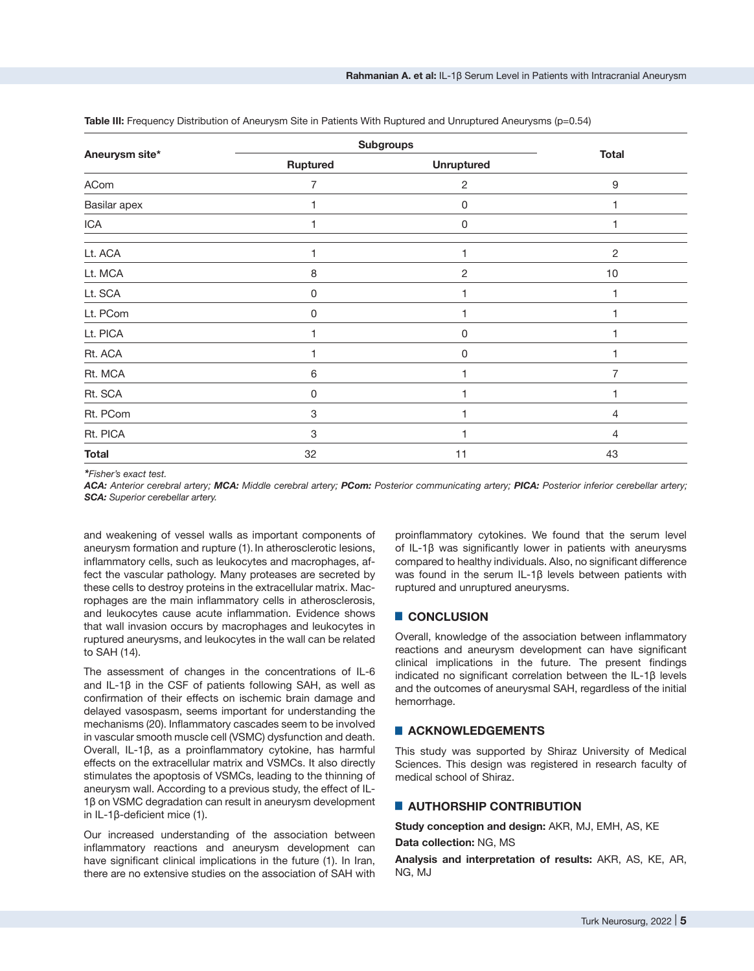|                | <b>Subgroups</b>          |                   |                |
|----------------|---------------------------|-------------------|----------------|
| Aneurysm site* | Ruptured                  | <b>Unruptured</b> | <b>Total</b>   |
| ACom           | $\overline{7}$            | $\overline{2}$    | 9              |
| Basilar apex   |                           | 0                 |                |
| ICA            | 1                         | 0                 |                |
| Lt. ACA        | 1                         | 1                 | $\overline{2}$ |
| Lt. MCA        | 8                         | $\sqrt{2}$        | 10             |
| Lt. SCA        | $\mathbf 0$               |                   |                |
| Lt. PCom       | 0                         | 1                 |                |
| Lt. PICA       |                           | 0                 |                |
| Rt. ACA        |                           | 0                 |                |
| Rt. MCA        | 6                         |                   | 7              |
| Rt. SCA        | 0                         |                   |                |
| Rt. PCom       | 3                         |                   | 4              |
| Rt. PICA       | $\ensuremath{\mathsf{3}}$ |                   | 4              |
| <b>Total</b>   | 32                        | 11                | 43             |

**Table III:** Frequency Distribution of Aneurysm Site in Patients With Ruptured and Unruptured Aneurysms (p=0.54)

*\*Fisher's exact test.* 

*ACA: Anterior cerebral artery; MCA: Middle cerebral artery; PCom: Posterior communicating artery; PICA: Posterior inferior cerebellar artery; SCA: Superior cerebellar artery.*

and weakening of vessel walls as important components of aneurysm formation and rupture (1). In atherosclerotic lesions, inflammatory cells, such as leukocytes and macrophages, affect the vascular pathology. Many proteases are secreted by these cells to destroy proteins in the extracellular matrix. Macrophages are the main inflammatory cells in atherosclerosis, and leukocytes cause acute inflammation. Evidence shows that wall invasion occurs by macrophages and leukocytes in ruptured aneurysms, and leukocytes in the wall can be related to SAH (14).

The assessment of changes in the concentrations of IL-6 and IL-1β in the CSF of patients following SAH, as well as confirmation of their effects on ischemic brain damage and delayed vasospasm, seems important for understanding the mechanisms (20). Inflammatory cascades seem to be involved in vascular smooth muscle cell (VSMC) dysfunction and death. Overall, IL-1β, as a proinflammatory cytokine, has harmful effects on the extracellular matrix and VSMCs. It also directly stimulates the apoptosis of VSMCs, leading to the thinning of aneurysm wall. According to a previous study, the effect of IL-1β on VSMC degradation can result in aneurysm development in IL-1β-deficient mice (1).

Our increased understanding of the association between inflammatory reactions and aneurysm development can have significant clinical implications in the future (1). In Iran, there are no extensive studies on the association of SAH with

proinflammatory cytokines. We found that the serum level of IL-1β was significantly lower in patients with aneurysms compared to healthy individuals. Also, no significant difference was found in the serum IL-1β levels between patients with ruptured and unruptured aneurysms.

#### █ **CONCLUSION**

Overall, knowledge of the association between inflammatory reactions and aneurysm development can have significant clinical implications in the future. The present findings indicated no significant correlation between the IL-1β levels and the outcomes of aneurysmal SAH, regardless of the initial hemorrhage.

## █ **ACKNOWLEDGEMENTS**

This study was supported by Shiraz University of Medical Sciences. This design was registered in research faculty of medical school of Shiraz.

## █ **AUTHORSHIP CONTRIBUTION**

**Study conception and design:** AKR, MJ, EMH, AS, KE **Data collection:** NG, MS

**Analysis and interpretation of results:** AKR, AS, KE, AR, NG, MJ